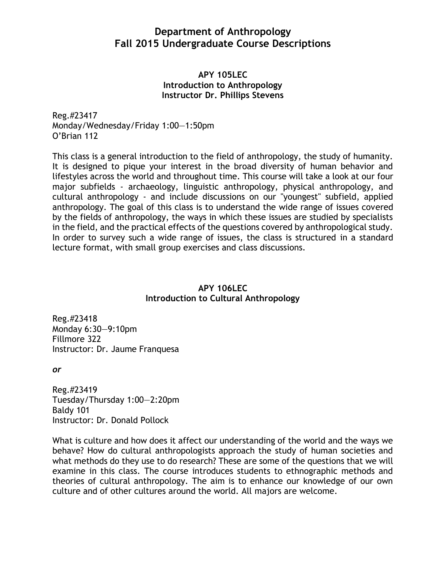# **Department of Anthropology Fall 2015 Undergraduate Course Descriptions**

### **APY 105LEC Introduction to Anthropology Instructor Dr. Phillips Stevens**

Reg.#23417 Monday/Wednesday/Friday 1:00—1:50pm O'Brian 112

This class is a general introduction to the field of anthropology, the study of humanity. It is designed to pique your interest in the broad diversity of human behavior and lifestyles across the world and throughout time. This course will take a look at our four major subfields - archaeology, linguistic anthropology, physical anthropology, and cultural anthropology - and include discussions on our "youngest" subfield, applied anthropology. The goal of this class is to understand the wide range of issues covered by the fields of anthropology, the ways in which these issues are studied by specialists in the field, and the practical effects of the questions covered by anthropological study. In order to survey such a wide range of issues, the class is structured in a standard lecture format, with small group exercises and class discussions.

# **APY 106LEC Introduction to Cultural Anthropology**

Reg.#23418 Monday 6:30—9:10pm Fillmore 322 Instructor: Dr. Jaume Franquesa

*or*

Reg.#23419 Tuesday/Thursday 1:00—2:20pm Baldy 101 Instructor: Dr. Donald Pollock

What is culture and how does it affect our understanding of the world and the ways we behave? How do cultural anthropologists approach the study of human societies and what methods do they use to do research? These are some of the questions that we will examine in this class. The course introduces students to ethnographic methods and theories of cultural anthropology. The aim is to enhance our knowledge of our own culture and of other cultures around the world. All majors are welcome.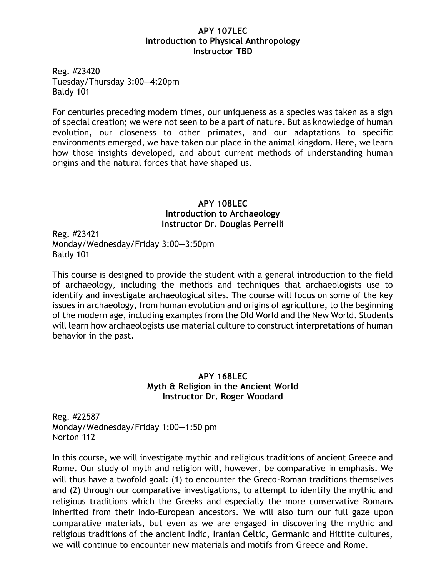#### **APY 107LEC Introduction to Physical Anthropology Instructor TBD**

Reg. #23420 Tuesday/Thursday 3:00—4:20pm Baldy 101

For centuries preceding modern times, our uniqueness as a species was taken as a sign of special creation; we were not seen to be a part of nature. But as knowledge of human evolution, our closeness to other primates, and our adaptations to specific environments emerged, we have taken our place in the animal kingdom. Here, we learn how those insights developed, and about current methods of understanding human origins and the natural forces that have shaped us.

## **APY 108LEC Introduction to Archaeology Instructor Dr. Douglas Perrelli**

Reg. #23421 Monday/Wednesday/Friday 3:00—3:50pm Baldy 101

This course is designed to provide the student with a general introduction to the field of archaeology, including the methods and techniques that archaeologists use to identify and investigate archaeological sites. The course will focus on some of the key issues in archaeology, from human evolution and origins of agriculture, to the beginning of the modern age, including examples from the Old World and the New World. Students will learn how archaeologists use material culture to construct interpretations of human behavior in the past.

### **APY 168LEC Myth & Religion in the Ancient World Instructor Dr. Roger Woodard**

Reg. #22587 Monday/Wednesday/Friday 1:00—1:50 pm Norton 112

In this course, we will investigate mythic and religious traditions of ancient Greece and Rome. Our study of myth and religion will, however, be comparative in emphasis. We will thus have a twofold goal: (1) to encounter the Greco-Roman traditions themselves and (2) through our comparative investigations, to attempt to identify the mythic and religious traditions which the Greeks and especially the more conservative Romans inherited from their Indo-European ancestors. We will also turn our full gaze upon comparative materials, but even as we are engaged in discovering the mythic and religious traditions of the ancient Indic, Iranian Celtic, Germanic and Hittite cultures, we will continue to encounter new materials and motifs from Greece and Rome.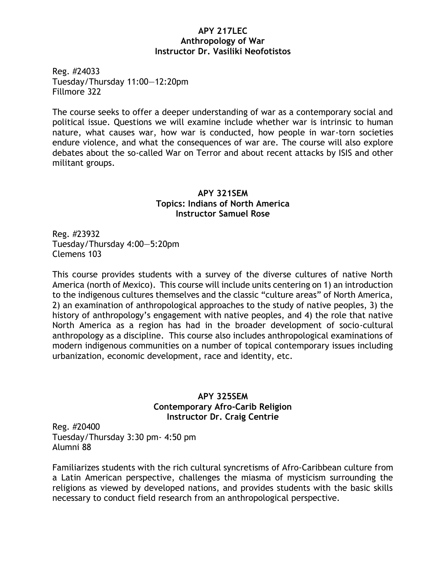#### **APY 217LEC Anthropology of War Instructor Dr. Vasiliki Neofotistos**

Reg. #24033 Tuesday/Thursday 11:00—12:20pm Fillmore 322

The course seeks to offer a deeper understanding of war as a contemporary social and political issue. Questions we will examine include whether war is intrinsic to human nature, what causes war, how war is conducted, how people in war-torn societies endure violence, and what the consequences of war are. The course will also explore debates about the so-called War on Terror and about recent attacks by ISIS and other militant groups.

## **APY 321SEM Topics: Indians of North America Instructor Samuel Rose**

Reg. #23932 Tuesday/Thursday 4:00—5:20pm Clemens 103

This course provides students with a survey of the diverse cultures of native North America (north of Mexico). This course will include units centering on 1) an introduction to the indigenous cultures themselves and the classic "culture areas" of North America, 2) an examination of anthropological approaches to the study of native peoples, 3) the history of anthropology's engagement with native peoples, and 4) the role that native North America as a region has had in the broader development of socio-cultural anthropology as a discipline. This course also includes anthropological examinations of modern indigenous communities on a number of topical contemporary issues including urbanization, economic development, race and identity, etc.

# **APY 325SEM Contemporary Afro-Carib Religion Instructor Dr. Craig Centrie**

Reg. #20400 Tuesday/Thursday 3:30 pm- 4:50 pm Alumni 88

Familiarizes students with the rich cultural syncretisms of Afro-Caribbean culture from a Latin American perspective, challenges the miasma of mysticism surrounding the religions as viewed by developed nations, and provides students with the basic skills necessary to conduct field research from an anthropological perspective.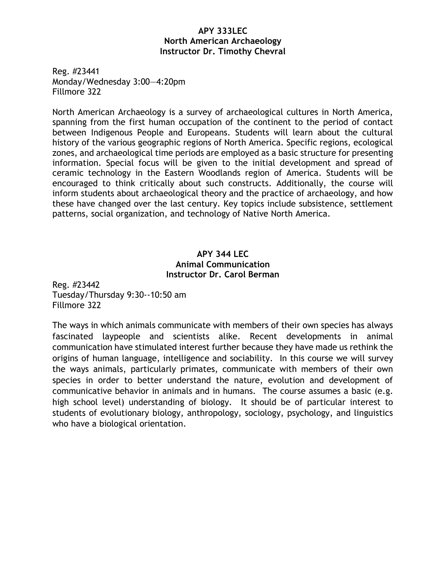#### **APY 333LEC North American Archaeology Instructor Dr. Timothy Chevral**

Reg. #23441 Monday/Wednesday 3:00—4:20pm Fillmore 322

North American Archaeology is a survey of archaeological cultures in North America, spanning from the first human occupation of the continent to the period of contact between Indigenous People and Europeans. Students will learn about the cultural history of the various geographic regions of North America. Specific regions, ecological zones, and archaeological time periods are employed as a basic structure for presenting information. Special focus will be given to the initial development and spread of ceramic technology in the Eastern Woodlands region of America. Students will be encouraged to think critically about such constructs. Additionally, the course will inform students about archaeological theory and the practice of archaeology, and how these have changed over the last century. Key topics include subsistence, settlement patterns, social organization, and technology of Native North America.

# **APY 344 LEC Animal Communication Instructor Dr. Carol Berman**

Reg. #23442 Tuesday/Thursday 9:30--10:50 am Fillmore 322

The ways in which animals communicate with members of their own species has always fascinated laypeople and scientists alike. Recent developments in animal communication have stimulated interest further because they have made us rethink the origins of human language, intelligence and sociability. In this course we will survey the ways animals, particularly primates, communicate with members of their own species in order to better understand the nature, evolution and development of communicative behavior in animals and in humans. The course assumes a basic (e.g. high school level) understanding of biology. It should be of particular interest to students of evolutionary biology, anthropology, sociology, psychology, and linguistics who have a biological orientation.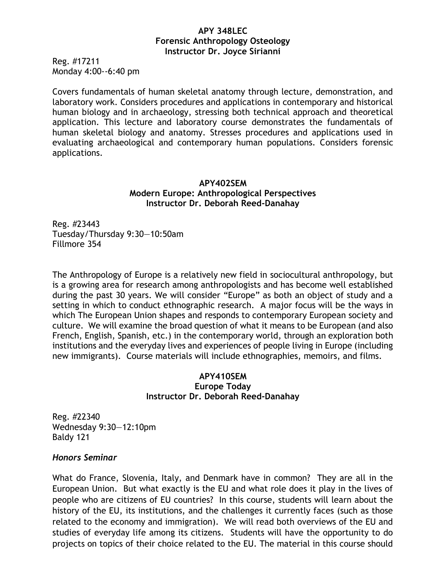### **APY 348LEC Forensic Anthropology Osteology Instructor Dr. Joyce Sirianni**

Reg. #17211 Monday 4:00--6:40 pm

Covers fundamentals of human skeletal anatomy through lecture, demonstration, and laboratory work. Considers procedures and applications in contemporary and historical human biology and in archaeology, stressing both technical approach and theoretical application. This lecture and laboratory course demonstrates the fundamentals of human skeletal biology and anatomy. Stresses procedures and applications used in evaluating archaeological and contemporary human populations. Considers forensic applications.

## **APY402SEM Modern Europe: Anthropological Perspectives Instructor Dr. Deborah Reed-Danahay**

Reg. #23443 Tuesday/Thursday 9:30—10:50am Fillmore 354

The Anthropology of Europe is a relatively new field in sociocultural anthropology, but is a growing area for research among anthropologists and has become well established during the past 30 years. We will consider "Europe" as both an object of study and a setting in which to conduct ethnographic research. A major focus will be the ways in which The European Union shapes and responds to contemporary European society and culture. We will examine the broad question of what it means to be European (and also French, English, Spanish, etc.) in the contemporary world, through an exploration both institutions and the everyday lives and experiences of people living in Europe (including new immigrants). Course materials will include ethnographies, memoirs, and films.

#### **APY410SEM Europe Today Instructor Dr. Deborah Reed-Danahay**

Reg. #22340 Wednesday 9:30—12:10pm Baldy 121

## *Honors Seminar*

What do France, Slovenia, Italy, and Denmark have in common? They are all in the European Union. But what exactly is the EU and what role does it play in the lives of people who are citizens of EU countries? In this course, students will learn about the history of the EU, its institutions, and the challenges it currently faces (such as those related to the economy and immigration). We will read both overviews of the EU and studies of everyday life among its citizens. Students will have the opportunity to do projects on topics of their choice related to the EU. The material in this course should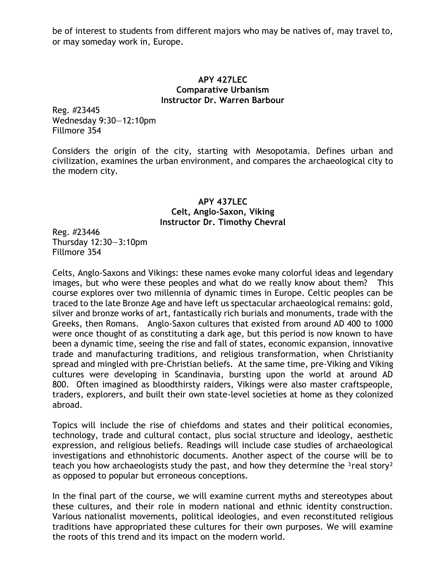be of interest to students from different majors who may be natives of, may travel to, or may someday work in, Europe.

#### **APY 427LEC Comparative Urbanism Instructor Dr. Warren Barbour**

Reg. #23445 Wednesday 9:30—12:10pm Fillmore 354

Considers the origin of the city, starting with Mesopotamia. Defines urban and civilization, examines the urban environment, and compares the archaeological city to the modern city.

### **APY 437LEC Celt, Anglo-Saxon, Viking Instructor Dr. Timothy Chevral**

Reg. #23446 Thursday 12:30—3:10pm Fillmore 354

Celts, Anglo-Saxons and Vikings: these names evoke many colorful ideas and legendary images, but who were these peoples and what do we really know about them? This course explores over two millennia of dynamic times in Europe. Celtic peoples can be traced to the late Bronze Age and have left us spectacular archaeological remains: gold, silver and bronze works of art, fantastically rich burials and monuments, trade with the Greeks, then Romans. Anglo-Saxon cultures that existed from around AD 400 to 1000 were once thought of as constituting a dark age, but this period is now known to have been a dynamic time, seeing the rise and fall of states, economic expansion, innovative trade and manufacturing traditions, and religious transformation, when Christianity spread and mingled with pre-Christian beliefs. At the same time, pre-Viking and Viking cultures were developing in Scandinavia, bursting upon the world at around AD 800. Often imagined as bloodthirsty raiders, Vikings were also master craftspeople, traders, explorers, and built their own state-level societies at home as they colonized abroad.

Topics will include the rise of chiefdoms and states and their political economies, technology, trade and cultural contact, plus social structure and ideology, aesthetic expression, and religious beliefs. Readings will include case studies of archaeological investigations and ethnohistoric documents. Another aspect of the course will be to teach you how archaeologists study the past, and how they determine the  $3$ real story $2$ as opposed to popular but erroneous conceptions.

In the final part of the course, we will examine current myths and stereotypes about these cultures, and their role in modern national and ethnic identity construction. Various nationalist movements, political ideologies, and even reconstituted religious traditions have appropriated these cultures for their own purposes. We will examine the roots of this trend and its impact on the modern world.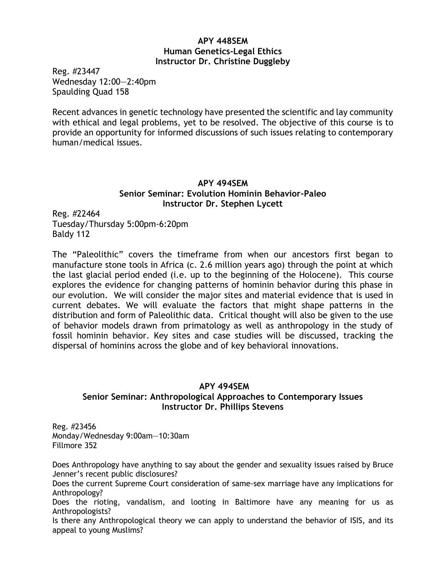## **APY 448SEM Human Genetics-Legal Ethics Instructor Dr. Christine Duggleby**

Reg. #23447 Wednesday 12:00—2:40pm Spaulding Quad 158

Recent advances in genetic technology have presented the scientific and lay community with ethical and legal problems, yet to be resolved. The objective of this course is to provide an opportunity for informed discussions of such issues relating to contemporary human/medical issues.

# **APY 494SEM Senior Seminar: Evolution Hominin Behavior-Paleo Instructor Dr. Stephen Lycett**

Reg. #22464 Tuesday/Thursday 5:00pm-6:20pm Baldy 112

The "Paleolithic" covers the timeframe from when our ancestors first began to manufacture stone tools in Africa (c. 2.6 million years ago) through the point at which the last glacial period ended (i.e. up to the beginning of the Holocene). This course explores the evidence for changing patterns of hominin behavior during this phase in our evolution. We will consider the major sites and material evidence that is used in current debates. We will evaluate the factors that might shape patterns in the distribution and form of Paleolithic data. Critical thought will also be given to the use of behavior models drawn from primatology as well as anthropology in the study of fossil hominin behavior. Key sites and case studies will be discussed, tracking the dispersal of hominins across the globe and of key behavioral innovations.

## **APY 494SEM**

# **Senior Seminar: Anthropological Approaches to Contemporary Issues Instructor Dr. Phillips Stevens**

Reg. #23456 Monday/Wednesday 9:00am—10:30am Fillmore 352

Does Anthropology have anything to say about the gender and sexuality issues raised by Bruce Jenner's recent public disclosures?

Does the current Supreme Court consideration of same-sex marriage have any implications for Anthropology?

Does the rioting, vandalism, and looting in Baltimore have any meaning for us as Anthropologists?

Is there any Anthropological theory we can apply to understand the behavior of ISIS, and its appeal to young Muslims?